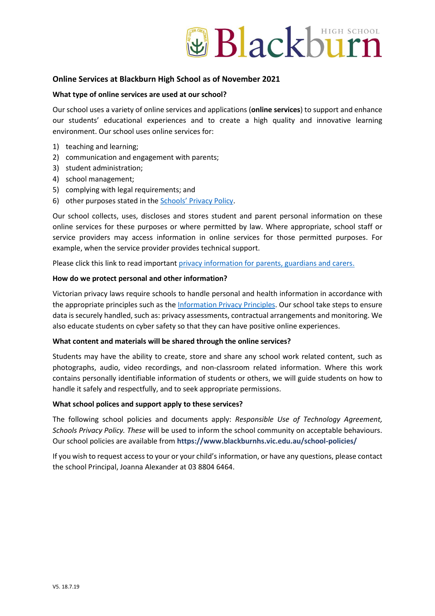

# **Online Services at Blackburn High School as of November 2021**

## **What type of online services are used at our school?**

Our school uses a variety of online services and applications (**online services**) to support and enhance our students' educational experiences and to create a high quality and innovative learning environment. Our school uses online services for:

- 1) teaching and learning;
- 2) communication and engagement with parents;
- 3) student administration;
- 4) school management;
- 5) complying with legal requirements; and
- 6) other purposes stated in the **[Schools' Privacy Policy](https://www.education.vic.gov.au/Pages/schoolsprivacypolicy.aspx)**.

Our school collects, uses, discloses and stores student and parent personal information on these online services for these purposes or where permitted by law. Where appropriate, school staff or service providers may access information in online services for those permitted purposes. For example, when the service provider provides technical support.

Please click this link to read importan[t privacy information for parents, guardians and carers.](http://www.blackburnhs.vic.edu.au/wp-content/uploads/2021/10/Collection_Statement-secondary_school.pdf)

### **How do we protect personal and other information?**

Victorian privacy laws require schools to handle personal and health information in accordance with the appropriate principles such as the [Information Privacy Principles.](https://ovic.vic.gov.au/privacy/for-agencies/information-privacy-principles/) Our school take steps to ensure data is securely handled, such as: privacy assessments, contractual arrangements and monitoring. We also educate students on cyber safety so that they can have positive online experiences.

### **What content and materials will be shared through the online services?**

Students may have the ability to create, store and share any school work related content, such as photographs, audio, video recordings, and non-classroom related information. Where this work contains personally identifiable information of students or others, we will guide students on how to handle it safely and respectfully, and to seek appropriate permissions.

### **What school polices and support apply to these services?**

The following school policies and documents apply: *Responsible Use of Technology Agreement, Schools Privacy Policy. These* will be used to inform the school community on acceptable behaviours. Our school policies are available from **https://www.blackburnhs.vic.edu.au/school-policies/**

If you wish to request access to your or your child's information, or have any questions, please contact the school Principal, Joanna Alexander at 03 8804 6464.